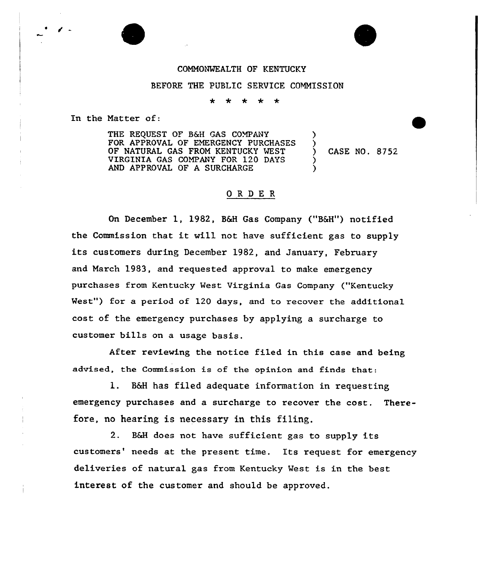## COMMONVEALTH OF KENTUCKY

BEFORE THE PUBLIC SERVICE COMMISSION

÷  $\star$ \*

In the Matter of:

THE REQUEST OF B&H GAS COMPANY FOR APPROVAL OF EMERGENCY PURCHASES OF NATURAL GAS FROM KENTUCKY VEST VIRGINIA GAS COMPANY FOR 120 DAYS AND APPROVAL OF A SURCHARGE

) CASE NO. 8752

) )

> ) )

## ORDER

On December 1, 1982, B&H Gas Company ("B&H") notified the Commission that it will not have sufficient gas to supply its customers during December 1982, and January, February and March 1983, and requested approval to make emergency purchases from Kentucky West Virginia Gas Company ("Kentucky West") for a period of 120 days, and to recover the additional cost of the emergency purchases by applying a surcharge to customer bills on a usage basis.

After reviewing the notice filed in this case and being advised, the Commission is of the opinion and finds that:

l. B&H has filed adequate information in requesting emergency purchases and a surcharge to recover the cost. Therefore, no hearing is necessary in this filing.

2. B&H does not have sufficient gas to supply its customers' needs at the present time. Its request for emergency deliveries of natural gas from Kentucky West is in the best interest of the customer and should be approved.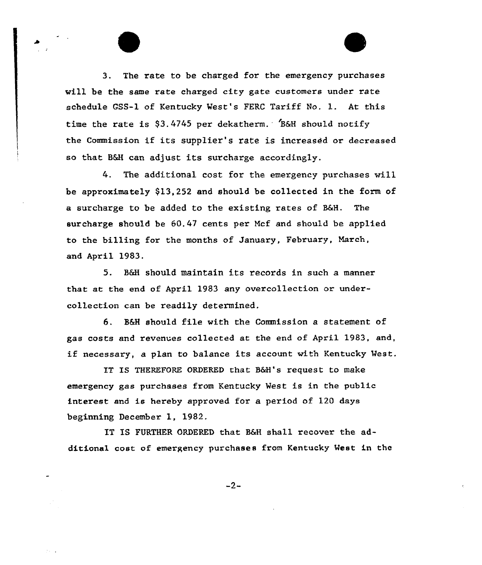3. The rate to be charged for the emergency purchases will be the same rate charged city gate customers under rate schedule CSS-1 of Kentucky Vest's FERC Tariff No. l. At this time the rate is  $$3.4745$  per dekatherm. B&H should notify the Commission if its supplier's rate is increased or decreased so that B&H can adjust its surcharge accoxdingly.

4. The additional cost for the emexgency purchases wi11 be approximately 913,252 and should be collected in the form of a surcharge to be added to the existing rates of B&H. The surcharge should be 60.47 cents per Mcf and should be applied to the billing for the months of January, February, March, and April 1983.

5. B&H should maintain its records in such a manner that at the end of April 1983 any overcollection or undexcollection can be readily determined.

6. B6H should file with the Commission a statement of gas costs and revenues collected at the end of Apri1 1983, and, if necessary, a plan to balance its account with Kentucky West.

IT IS THEREFORE ORDERED that B6H's request to make emergency gas purchases from Kentucky West is in the public interest and is hereby approved for a period of 120 days beginning December 1, 1982.

IT IS FURTHER ORDERED that B6H shall recover the additional cost of emergency purchases from Kentucky Meet in the

 $-2-$ 

 $\lambda_{\rm{max}}$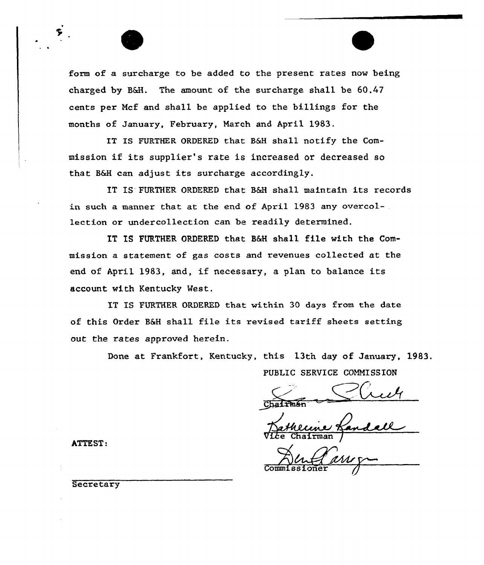form of a surcharge to be added to the present rates now being charged by BAH. The amount of the surcharge shall be 60.47 cents per Ncf and shall be applied to the billings for the months of January, February, March and April 1983.

IT IS FURTHER ORDERED that B6H shall notify the Commission if its supplier's rate is increased or decreased so that B&H can adjust its surcharge accordingly.

IT IS'URTHER ORDERED that B&H shall maintain its records in such a manner that at the end of April 1983 any overcollection or undercollection can be readily determined.

IT IS FURTHER ORDERED that B6H shall file with the Commission a statement of gas costs and revenues collected at the end of April 1983, and, if necessary, <sup>a</sup> plan to balance its account with Kentucky Mest.

IT IS FURTHER ORDERED that within 30 days from the date of this Order B6H shall file its revised tariff sheets setting out the rates approved herein.

Done at Frankfort, Kentucky, this 13th day of January, 1983.

PUBLIC SERUICE COMMISSION

Chairman

Vice Chairman /

Commissioner J

ATTEST:

**Secretary**